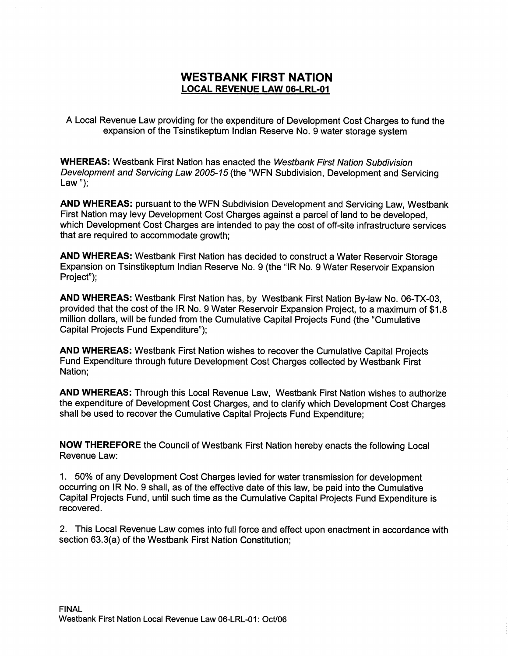## WESTBANK FIRST NATION LOCAL REVENUE LAW 06-LRL-01

A Local Revenue Law providing for the expenditure of Development Cost Charges to fund the expansion of the Tsinstikeptum Indian Reserve No. 9 water storage system

WHEREAS: Westbank First Nation has enacted the Westbank First Nation Subdivision Development and Servicing Law 2005-15 (the "WFN Subdivision, Development and Servicing Law");

AND WHEREAS: pursuant to the WFN Subdivision Development and Servicing Law, Westbank First Nation may levy Development Cost Charges against a parcel of land to be developed, which Development Cost Charges are intended to pay the cost of off-site infrastructure services that are required to accommodate growth;

AND WHEREAS: Westbank First Nation has decided to construct a Water Reservoir Storage Expansion on Tsinstikeptum Indian Reserve No. 9 (the "IR No. 9 Water Reservoir Expansion Project");

AND WHEREAS: Westbank First Nation has, by Westbank First Nation By-law No. 06-TX-03, provided that the cost of the IR No. 9 Water Reservoir Expansion Project, to <sup>a</sup> maximum of \$1.8 million dollars, will be funded from the Cumulative Capital Projects Fund (the "Cumulative Capital Projects Fund Expenditure");

AND WHEREAS: Westbank First Nation wishes to recover the Cumulative Capital Projects Fund Expenditure through future Development Cost Charges collected by Westbank First Nation;

AND WHEREAS: Through this Local Revenue Law, Westbank First Nation wishes to authorize the expenditure of Development Cost Charges, and to clarify which Development Cost Charges shall be used to recover the Cumulative capital Projects Fund Expenditure;

NOW THEREFORE the Council of Westbank First Nation hereby enacts the following Local Revenue Law:

1. 50% of any Development Cost Charges levied for water transmission for development occurring on IR No. 9 shall, as of the effective date of this law, be paid into the Cumulative Capital Projects Fund, until such time as the cumulative Capital Projects Fund Expenditure is recovered.

2. This Local Revenue Law comes into full force and effect upon enactment in accordance with Sephart rejects Fund, until such time as the Cumulative Crecovered.<br>
2. This Local Revenue Law comes into full force and efferenciency Section 63.3(a) of the Westbank First Nation Constitution;